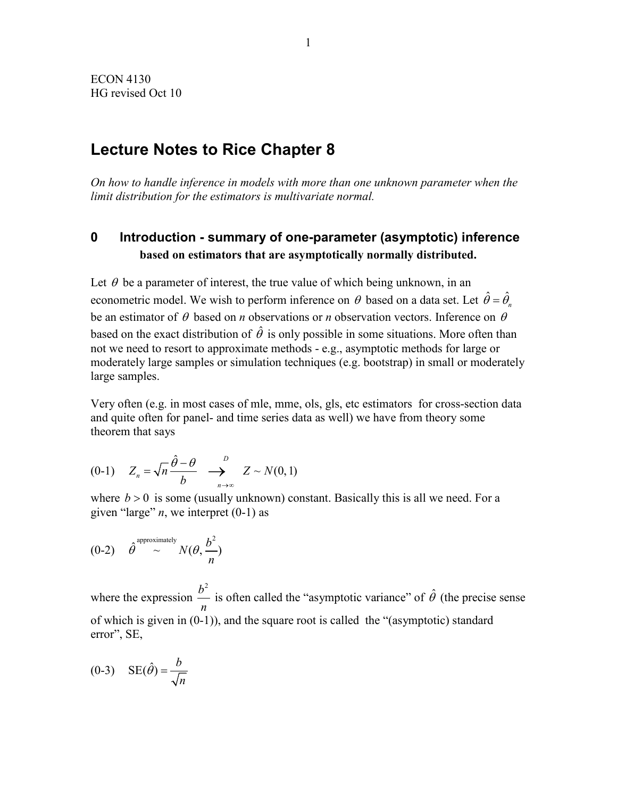# **Lecture Notes to Rice Chapter 8**

*On how to handle inference in models with more than one unknown parameter when the limit distribution for the estimators is multivariate normal.*

## **0 Introduction - summary of one-parameter (asymptotic) inference based on estimators that are asymptotically normally distributed.**

Let  $\theta$  be a parameter of interest, the true value of which being unknown, in an econometric model. We wish to perform inference on  $\theta$  based on a data set. Let  $\hat{\theta} = \hat{\theta}_n$ be an estimator of  $\theta$  based on *n* observations or *n* observation vectors. Inference on  $\theta$ based on the exact distribution of  $\hat{\theta}$  is only possible in some situations. More often than not we need to resort to approximate methods - e.g., asymptotic methods for large or moderately large samples or simulation techniques (e.g. bootstrap) in small or moderately large samples.

Very often (e.g. in most cases of mle, mme, ols, gls, etc estimators for cross-section data and quite often for panel- and time series data as well) we have from theory some theorem that says

$$
(0-1) \quad Z_n = \sqrt{n} \frac{\hat{\theta} - \theta}{b} \quad \longrightarrow_{n \to \infty}^{D} \quad Z \sim N(0,1)
$$

where  $b > 0$  is some (usually unknown) constant. Basically this is all we need. For a given "large"  $n$ , we interpret  $(0-1)$  as

$$
(0-2) \quad \hat{\theta}^{\text{approximately}} \sim N(\theta, \frac{b^2}{n})
$$

where the expression  $b^2$ *n* is often called the "asymptotic variance" of  $\hat{\theta}$  (the precise sense of which is given in (0-1)), and the square root is called the "(asymptotic) standard error", SE,

$$
(0-3) \t \text{SE}(\hat{\theta}) = \frac{b}{\sqrt{n}}
$$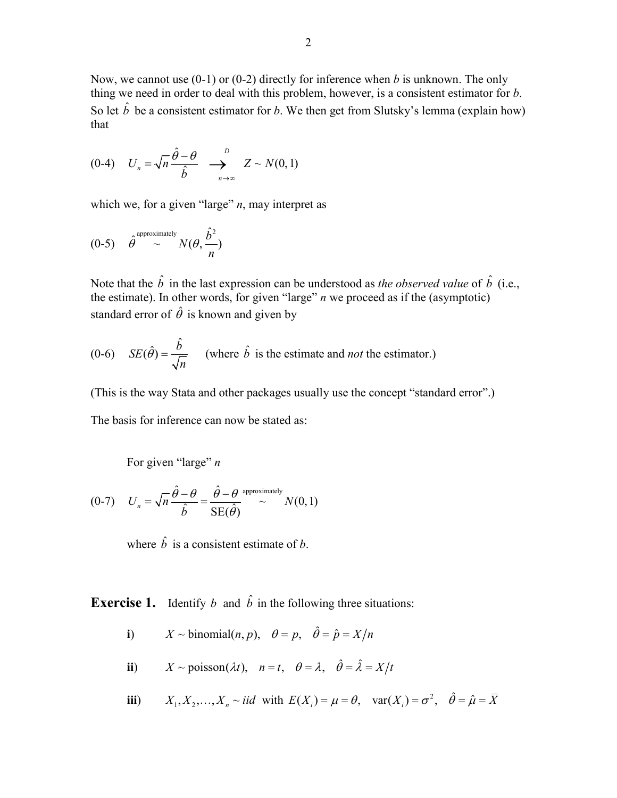Now, we cannot use (0-1) or (0-2) directly for inference when *b* is unknown. The only thing we need in order to deal with this problem, however, is a consistent estimator for *b*. So let  $\hat{b}$  be a consistent estimator for *b*. We then get from Slutsky's lemma (explain how) that

$$
(0-4) \quad U_n = \sqrt{n} \frac{\hat{\theta} - \theta}{\hat{b}} \quad \longrightarrow_{n \to \infty}^{D} \quad Z \sim N(0,1)
$$

which we, for a given "large" *n*, may interpret as

$$
(0-5) \quad \hat{\theta}^{\text{approximately}} \sim N(\theta, \frac{\hat{b}^2}{n})
$$

Note that the  $\hat{b}$  in the last expression can be understood as *the observed value* of  $\hat{b}$  (i.e., the estimate). In other words, for given "large" *n* we proceed as if the (asymptotic) standard error of  $\hat{\theta}$  is known and given by

(0-6) 
$$
SE(\hat{\theta}) = \frac{\hat{b}}{\sqrt{n}}
$$
 (where  $\hat{b}$  is the estimate and *not* the estimator.)

(This is the way Stata and other packages usually use the concept "standard error".) The basis for inference can now be stated as:

For given "large" *n*

$$
(0-7) \tU_n = \sqrt{n}\frac{\hat{\theta} - \theta}{\hat{b}} = \frac{\hat{\theta} - \theta}{SE(\hat{\theta})} \approx N(0,1)
$$

where  $\hat{b}$  is a consistent estimate of *b*.

**Exercise 1.** Identify *b* and  $\hat{b}$  in the following three situations:

- **i**)  $X \sim \text{binomial}(n, p), \theta = p, \hat{\theta} = \hat{p} = X/n$
- **ii**)  $X \sim \text{poisson}(\lambda t)$ ,  $n = t$ ,  $\theta = \lambda$ ,  $\hat{\theta} = \hat{\lambda} = X/t$
- **iii**)  $X_1, X_2, ..., X_n \sim \text{iid}$  with  $E(X_i) = \mu = \theta$ ,  $var(X_i) = \sigma^2$ ,  $\hat{\theta} = \hat{\mu} = \overline{X}$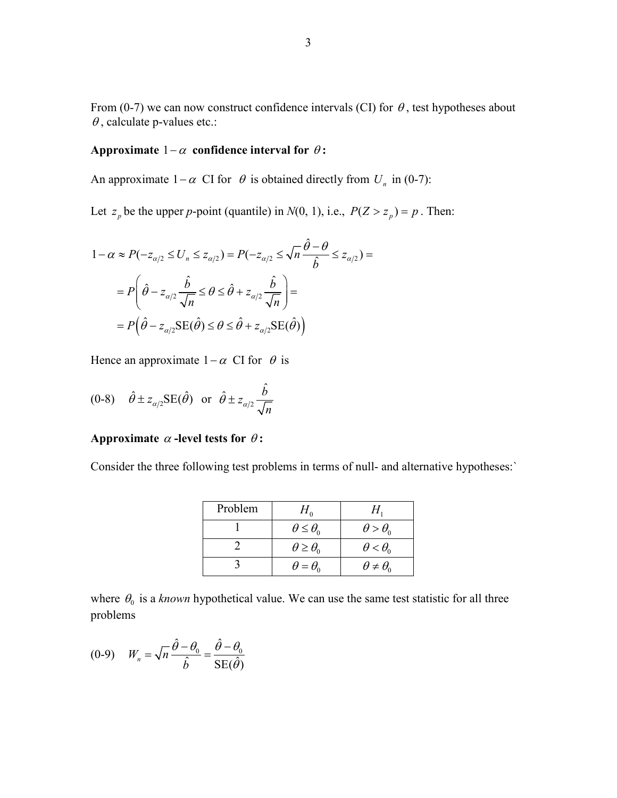From (0-7) we can now construct confidence intervals (CI) for  $\theta$ , test hypotheses about  $\theta$ , calculate p-values etc.:

#### **Approximate**  $1-\alpha$  **confidence interval for**  $\theta$ **:**

An approximate  $1-\alpha$  CI for  $\theta$  is obtained directly from  $U_n$  in (0-7):

Let  $z_p$  be the upper *p*-point (quantile) in  $N(0, 1)$ , i.e.,  $P(Z > z_p) = p$ . Then:

$$
1 - \alpha \approx P(-z_{\alpha/2} \le U_n \le z_{\alpha/2}) = P(-z_{\alpha/2} \le \sqrt{n}\frac{\hat{\theta} - \theta}{\hat{b}} \le z_{\alpha/2}) =
$$
  
= 
$$
P\left(\hat{\theta} - z_{\alpha/2} \frac{\hat{b}}{\sqrt{n}} \le \theta \le \hat{\theta} + z_{\alpha/2} \frac{\hat{b}}{\sqrt{n}}\right) =
$$
  
= 
$$
P\left(\hat{\theta} - z_{\alpha/2} \text{SE}(\hat{\theta}) \le \theta \le \hat{\theta} + z_{\alpha/2} \text{SE}(\hat{\theta})\right)
$$

Hence an approximate  $1-\alpha$  CI for  $\theta$  is

(0-8) 
$$
\hat{\theta} \pm z_{\alpha/2} \text{SE}(\hat{\theta})
$$
 or  $\hat{\theta} \pm z_{\alpha/2} \frac{\hat{b}}{\sqrt{n}}$ 

#### **Approximate**  $\alpha$  **-level tests for**  $\theta$ **:**

Consider the three following test problems in terms of null- and alternative hypotheses:`

| Problem | $H_{\alpha}$             |                          |
|---------|--------------------------|--------------------------|
|         | $\theta \leq \theta_0$   | $\theta > \theta_0$      |
|         | $\theta \geq \theta_{0}$ | $\theta < \theta_{0}$    |
|         | $\theta = \theta_{0}$    | $\theta \neq \theta_{0}$ |

where  $\theta_0$  is a *known* hypothetical value. We can use the same test statistic for all three problems

$$
(0-9) \qquad W_n = \sqrt{n} \frac{\hat{\theta} - \theta_0}{\hat{b}} = \frac{\hat{\theta} - \theta_0}{SE(\hat{\theta})}
$$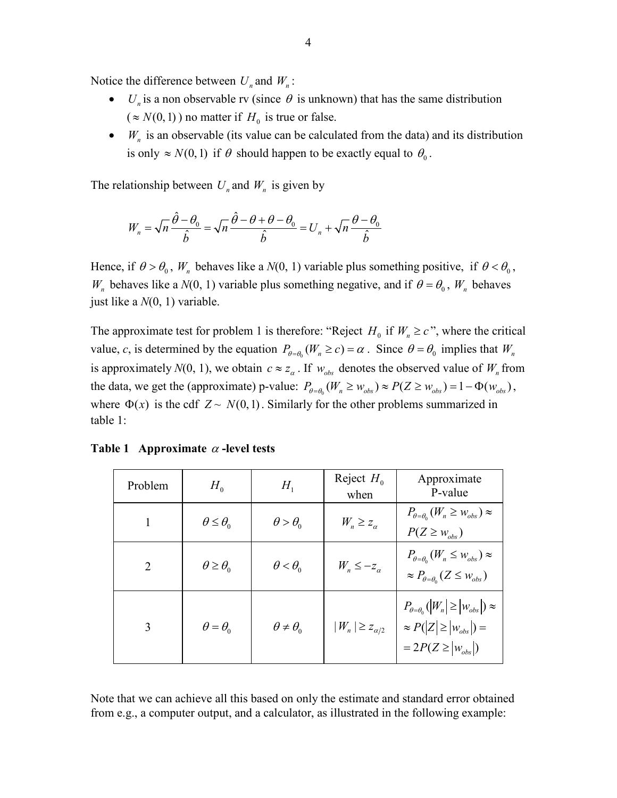Notice the difference between  $U_n$  and  $W_n$ :

- *U<sub>n</sub>* is a non observable rv (since  $\theta$  is unknown) that has the same distribution  $({\approx} N(0,1))$  no matter if  $H_0$  is true or false.
- $W_n$  is an observable (its value can be calculated from the data) and its distribution is only  $\approx N(0,1)$  if  $\theta$  should happen to be exactly equal to  $\theta_0$ .

The relationship between  $U_n$  and  $W_n$  is given by

$$
W_n = \sqrt{n} \frac{\hat{\theta} - \theta_0}{\hat{b}} = \sqrt{n} \frac{\hat{\theta} - \theta + \theta - \theta_0}{\hat{b}} = U_n + \sqrt{n} \frac{\theta - \theta_0}{\hat{b}}
$$

Hence, if  $\theta > \theta_0$ ,  $W_n$  behaves like a  $N(0, 1)$  variable plus something positive, if  $\theta < \theta_0$ , *W<sub>n</sub>* behaves like a  $N(0, 1)$  variable plus something negative, and if  $\theta = \theta_0$ ,  $W_n$  behaves just like a *N*(0, 1) variable.

The approximate test for problem 1 is therefore: "Reject  $H_0$  if  $W_n \geq c$ ", where the critical value, *c*, is determined by the equation  $P_{\theta=\theta_0}(W_n \ge c) = \alpha$ . Since  $\theta = \theta_0$  implies that  $W_n$ is approximately  $N(0, 1)$ , we obtain  $c \approx z_{\alpha}$ . If  $w_{obs}$  denotes the observed value of  $W_n$  from the data, we get the (approximate) p-value:  $P_{\theta=\theta_0}(W_n \ge w_{obs}) \approx P(Z \ge w_{obs}) = 1 - \Phi(w_{obs}),$ where  $\Phi(x)$  is the cdf  $Z \sim N(0,1)$ . Similarly for the other problems summarized in table 1:

| Problem                     | $H_{0}$                  | $H_{1}$                | Reject $H_0$<br>when      | Approximate<br>P-value                                                                                            |
|-----------------------------|--------------------------|------------------------|---------------------------|-------------------------------------------------------------------------------------------------------------------|
|                             | $\theta \leq \theta_0$   | $\theta > \theta_{0}$  | $W_n \geq z_\alpha$       | $P_{\theta=\theta_0}(W_n \geq W_{obs}) \approx$<br>$P(Z \geq w_{obs})$                                            |
| $\mathcal{D}_{\mathcal{L}}$ | $\theta \geq \theta_{0}$ | $\theta < \theta_0$    | $W_n \leq -z_\alpha$      | $P_{\theta = \theta_0} (W_n \leq w_{obs}) \approx$<br>$\approx P_{\theta=\theta_0}(Z \leq w_{obs})$               |
| 3                           | $\theta = \theta_0$      | $\theta \neq \theta_0$ | $ W_n  \geq z_{\alpha/2}$ | $P_{\theta=\theta_0}( W_n \geq  W_{obs} )\approx$<br>$\approx P( Z  \geq  w_{obs} ) =$<br>$=2P(Z \geq  w_{obs} )$ |

**Table 1 Approximate** <sup>α</sup> **-level tests**

Note that we can achieve all this based on only the estimate and standard error obtained from e.g., a computer output, and a calculator, as illustrated in the following example: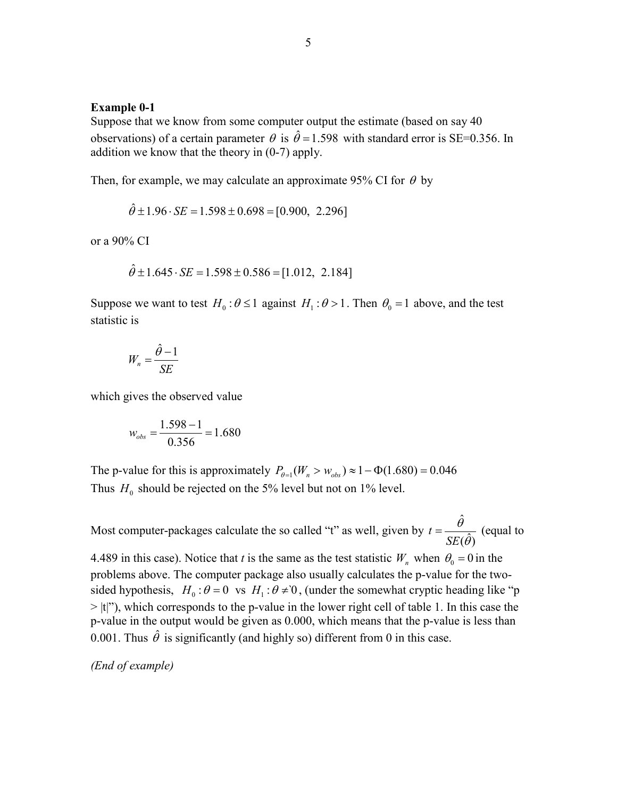#### **Example 0-1**

Suppose that we know from some computer output the estimate (based on say 40 observations) of a certain parameter  $\theta$  is  $\hat{\theta} = 1.598$  with standard error is SE=0.356. In addition we know that the theory in (0-7) apply.

Then, for example, we may calculate an approximate 95% CI for  $\theta$  by

 $\hat{\theta} \pm 1.96 \cdot SE = 1.598 \pm 0.698 = [0.900, 2.296]$ 

or a 90% CI

$$
\hat{\theta} \pm 1.645 \cdot SE = 1.598 \pm 0.586 = [1.012, 2.184]
$$

Suppose we want to test  $H_0$ :  $\theta \le 1$  against  $H_1$ :  $\theta > 1$ . Then  $\theta_0 = 1$  above, and the test statistic is

$$
W_n = \frac{\hat{\theta} - 1}{SE}
$$

which gives the observed value

$$
w_{obs} = \frac{1.598 - 1}{0.356} = 1.680
$$

The p-value for this is approximately  $P_{\theta=1}(W_n > w_{obs}) \approx 1 - \Phi(1.680) = 0.046$ Thus  $H_0$  should be rejected on the 5% level but not on 1% level.

Most computer-packages calculate the so called "t" as well, given by  $t = \frac{\hat{\theta}}{|\theta|}$  $t = \frac{c}{SE(\hat{\theta})}$ *SE*  $=\frac{\theta}{SE(\hat{\theta})}$  (equal to

4.489 in this case). Notice that *t* is the same as the test statistic  $W_n$  when  $\theta_0 = 0$  in the problems above. The computer package also usually calculates the p-value for the twosided hypothesis,  $H_0 : \theta = 0$  vs  $H_1 : \theta \neq 0$ , (under the somewhat cryptic heading like "p  $>$  |t|"), which corresponds to the p-value in the lower right cell of table 1. In this case the p-value in the output would be given as 0.000, which means that the p-value is less than 0.001. Thus  $\hat{\theta}$  is significantly (and highly so) different from 0 in this case.

*(End of example)*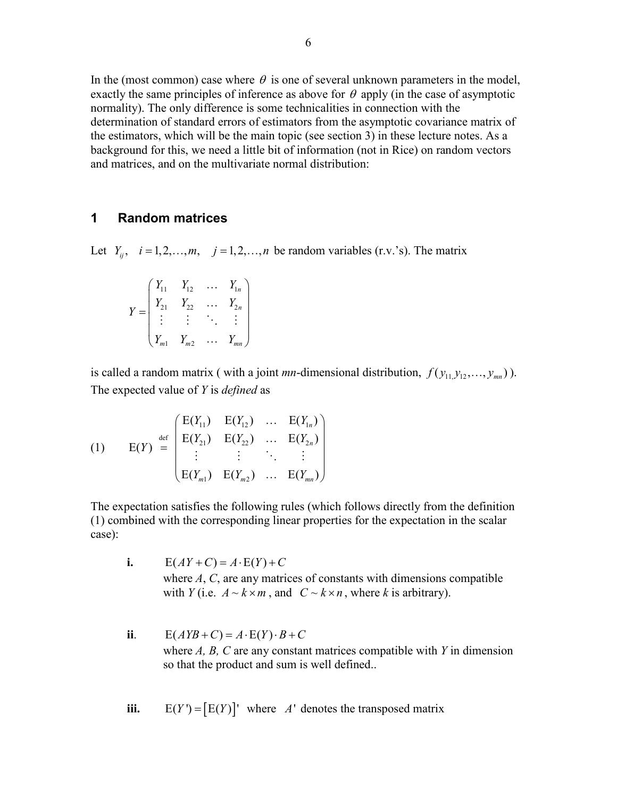In the (most common) case where  $\theta$  is one of several unknown parameters in the model, exactly the same principles of inference as above for  $\theta$  apply (in the case of asymptotic normality). The only difference is some technicalities in connection with the determination of standard errors of estimators from the asymptotic covariance matrix of the estimators, which will be the main topic (see section 3) in these lecture notes. As a background for this, we need a little bit of information (not in Rice) on random vectors and matrices, and on the multivariate normal distribution:

### **1 Random matrices**

Let  $Y_{ii}$ ,  $i = 1,2,...,m$ ,  $j = 1,2,...,n$  be random variables (r.v.'s). The matrix

|  | $Y_{11}$       | $Y_{12}$ | $Y_{1n}$ |
|--|----------------|----------|----------|
|  | $r_{21}$       | $Y_{22}$ | 2n       |
|  |                |          |          |
|  | m <sub>1</sub> | $Y_{m2}$ | mn       |

is called a random matrix ( with a joint *mn*-dimensional distribution,  $f(y_{11}, y_{12}, \ldots, y_{mn})$ ). The expected value of *Y* is *defined* as

(1) 
$$
E(Y) = \begin{pmatrix} E(Y_{11}) & E(Y_{12}) & \dots & E(Y_{1n}) \\ E(Y_{21}) & E(Y_{22}) & \dots & E(Y_{2n}) \\ \vdots & \vdots & \ddots & \vdots \\ E(Y_{m1}) & E(Y_{m2}) & \dots & E(Y_{mn}) \end{pmatrix}
$$

The expectation satisfies the following rules (which follows directly from the definition (1) combined with the corresponding linear properties for the expectation in the scalar case):

- **i.**  $E(AY+C) = A \cdot E(Y) + C$ where *A*, *C*, are any matrices of constants with dimensions compatible with *Y* (i.e.  $A \sim k \times m$ , and  $C \sim k \times n$ , where *k* is arbitrary).
- **ii**.  $E(AYB+C) = A \cdot E(Y) \cdot B + C$ where *A, B, C* are any constant matrices compatible with *Y* in dimension so that the product and sum is well defined..
- **iii.**  $E(Y') = [E(Y)]'$  where *A'* denotes the transposed matrix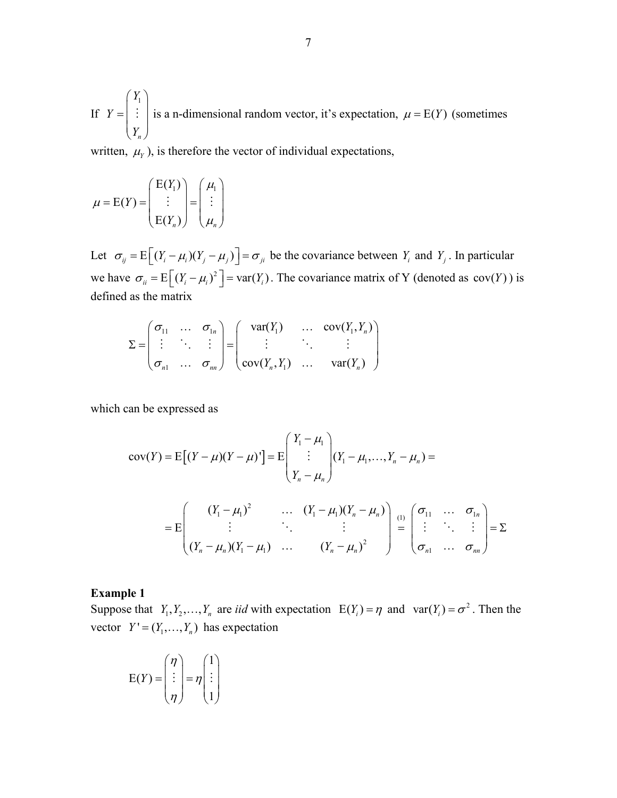If 1 *n Y Y*  $=\begin{pmatrix} Y_1 \\ \vdots \\ Y_n \end{pmatrix}$  $\therefore$  is a n-dimensional random vector, it's expectation,  $\mu = E(Y)$  (sometimes

written,  $\mu_Y$ ), is therefore the vector of individual expectations,

$$
\mu = E(Y) = \begin{pmatrix} E(Y_1) \\ \vdots \\ E(Y_n) \end{pmatrix} = \begin{pmatrix} \mu_1 \\ \vdots \\ \mu_n \end{pmatrix}
$$

Let  $\sigma_{ij} = E \left[ (Y_i - \mu_i)(Y_j - \mu_j) \right] = \sigma_{ji}$  be the covariance between  $Y_i$  and  $Y_j$ . In particular we have  $\sigma_{ii} = E \left[ (Y_i - \mu_i)^2 \right] = \text{var}(Y_i)$ . The covariance matrix of Y (denoted as  $\text{cov}(Y)$ ) is defined as the matrix

$$
\Sigma = \begin{pmatrix} \sigma_{11} & \dots & \sigma_{1n} \\ \vdots & \ddots & \vdots \\ \sigma_{n1} & \dots & \sigma_{nn} \end{pmatrix} = \begin{pmatrix} \text{var}(Y_1) & \dots & \text{cov}(Y_1, Y_n) \\ \vdots & \ddots & \vdots \\ \text{cov}(Y_n, Y_1) & \dots & \text{var}(Y_n) \end{pmatrix}
$$

which can be expressed as

$$
cov(Y) = E[(Y - \mu)(Y - \mu)'] = E\begin{pmatrix} Y_1 - \mu_1 \\ \vdots \\ Y_n - \mu_n \end{pmatrix} (Y_1 - \mu_1, \dots, Y_n - \mu_n) =
$$
  
= 
$$
E\begin{pmatrix} (Y_1 - \mu_1)^2 & \cdots & (Y_1 - \mu_1)(Y_n - \mu_n) \\ \vdots & \ddots & \vdots \\ \vdots & \ddots & \vdots \end{pmatrix} = \sum_{i=1}^{n} \sum_{j=1}^{n} \sum_{j=1}^{n} \sum_{j=1}^{n} \sum_{j=1}^{n} \sum_{j=1}^{n} \sum_{j=1}^{n} \sum_{j=1}^{n} \sum_{j=1}^{n} \sum_{j=1}^{n} \sum_{j=1}^{n} \sum_{j=1}^{n} \sum_{j=1}^{n} \sum_{j=1}^{n} \sum_{j=1}^{n} \sum_{j=1}^{n} \sum_{j=1}^{n} \sum_{j=1}^{n} \sum_{j=1}^{n} \sum_{j=1}^{n} \sum_{j=1}^{n} \sum_{j=1}^{n} \sum_{j=1}^{n} \sum_{j=1}^{n} \sum_{j=1}^{n} \sum_{j=1}^{n} \sum_{j=1}^{n} \sum_{j=1}^{n} \sum_{j=1}^{n} \sum_{j=1}^{n} \sum_{j=1}^{n} \sum_{j=1}^{n} \sum_{j=1}^{n} \sum_{j=1}^{n} \sum_{j=1}^{n} \sum_{j=1}^{n} \sum_{j=1}^{n} \sum_{j=1}^{n} \sum_{j=1}^{n} \sum_{j=1}^{n} \sum_{j=1}^{n} \sum_{j=1}^{n} \sum_{j=1}^{n} \sum_{j=1}^{n} \sum_{j=1}^{n} \sum_{j=1}^{n} \sum_{j=1}^{n} \sum_{j=1}^{n} \sum_{j=1}^{n} \sum_{j=1}^{n} \sum_{j=1}^{n} \sum_{j=1}^{n} \sum_{j=1}^{n} \sum_{j=1}^{n} \sum_{j=1}^{n} \sum_{j=1}^{n} \sum_{j=1}^{n} \sum_{j=1}^{n} \sum_{j=1}^{n} \sum_{j=1}^{n} \sum_{j=1
$$

$$
= E\begin{bmatrix} \vdots & \ddots & \vdots \\ (Y_n - \mu_n)(Y_1 - \mu_1) & \dots & (Y_n - \mu_n)^2 \end{bmatrix} = \begin{bmatrix} \vdots & \ddots & \vdots \\ \sigma_{n1} & \dots & \sigma_{nn} \end{bmatrix} = \begin{bmatrix} 1 & \cdots & \vdots \\ 1 & \cdots & \vdots \\ 1 & \cdots & \vdots \\ 1 & \cdots & \vdots \\ 1 & \cdots & \vdots \\ 1 & \cdots & \vdots \\ 1 & \cdots & \vdots \\ 1 & \cdots & \vdots \\ 1 & \cdots & \vdots \\ 1 & \cdots & \vdots \\ 1 & \cdots & \vdots \\ 1 & \cdots & \vdots \\ 1 & \cdots & \vdots \\ 1 & \cdots & \vdots \\ 1 & \cdots & \vdots \\ 1 & \cdots & \vdots \\ 1 & \cdots & \vdots \\ 1 & \cdots & \vdots \\ 1 & \cdots & \vdots \\ 1 & \cdots & \vdots \\ 1 & \cdots & \vdots \\ 1 & \cdots & \vdots \\ 1 & \cdots & \vdots \\ 1 & \cdots & \vdots \\ 1 & \cdots & \vdots \\ 1 & \cdots & \vdots \\ 1 & \cdots & \vdots \\ 1 & \cdots & \vdots \\ 1 & \cdots & \vdots \\ 1 & \cdots & \vdots \\ 1 & \cdots & \vdots \\ 1 & \cdots & \vdots \\ 1 & \cdots & \vdots \\ 1 & \cdots & \vdots \\ 1 & \cdots & \vdots \\ 1 & \cdots & \vdots \\ 1 & \cdots & \vdots \\ 1 & \cdots & \vdots \\ 1 & \cdots & \vdots \\ 1 & \cdots & \vdots \\ 1 & \cdots & \vdots \\ 1 & \cdots & \vdots \\ 1 & \cdots & \vdots \\ 1 & \cdots & \vdots \\ 1 & \cdots & \vdots \\ 1 & \cdots & \vdots \\ 1 & \cdots & \vdots \\ 1 & \cdots & \vdots \\ 1 & \cdots & \vdots \\ 1 & \cdots & \vdots \\ 1 & \cdots & \vdots \\ 1 & \cdots & \vdots \\ 1 & \cdots & \vdots \\ 1 & \cdots & \vdots \\ 1 & \cdots & \vdots \\ 1 & \cdots & \vdots \\ 1 & \cdots & \vdots \\ 1 & \cdots & \vdots \\ 1 & \cdots & \vdots \\ 1 & \cdots &
$$

#### **Example 1**

Suppose that  $Y_1, Y_2, ..., Y_n$  are *iid* with expectation  $E(Y_i) = \eta$  and  $var(Y_i) = \sigma^2$ . Then the vector  $Y' = (Y_1, \ldots, Y_n)$  has expectation

$$
E(Y) = \begin{pmatrix} \eta \\ \vdots \\ \eta \end{pmatrix} = \eta \begin{pmatrix} 1 \\ \vdots \\ 1 \end{pmatrix}
$$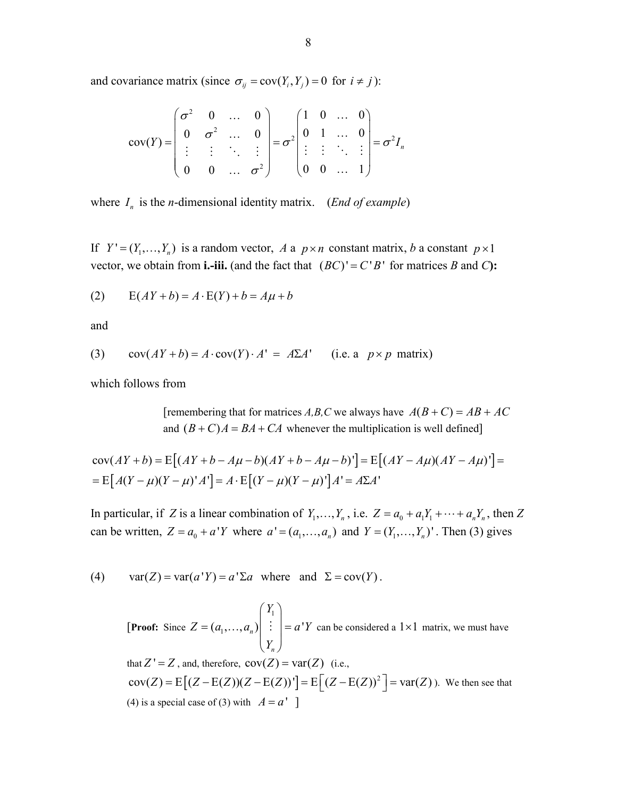and covariance matrix (since  $\sigma_{ij} = \text{cov}(Y_i, Y_j) = 0$  for  $i \neq j$ ):

$$
cov(Y) = \begin{pmatrix} \sigma^2 & 0 & \dots & 0 \\ 0 & \sigma^2 & \dots & 0 \\ \vdots & \vdots & \ddots & \vdots \\ 0 & 0 & \dots & \sigma^2 \end{pmatrix} = \sigma^2 \begin{pmatrix} 1 & 0 & \dots & 0 \\ 0 & 1 & \dots & 0 \\ \vdots & \vdots & \ddots & \vdots \\ 0 & 0 & \dots & 1 \end{pmatrix} = \sigma^2 I_n
$$

where  $I_n$  is the *n*-dimensional identity matrix. (*End of example*)

If  $Y' = (Y_1, \ldots, Y_n)$  is a random vector, *A* a  $p \times n$  constant matrix, *b* a constant  $p \times 1$ vector, we obtain from **i.-iii.** (and the fact that  $(BC)' = C'B'$  for matrices *B* and *C*):

$$
(2) \qquad E(AY + b) = A \cdot E(Y) + b = A\mu + b
$$

and

(3) 
$$
cov(AY + b) = A \cdot cov(Y) \cdot A' = A\Sigma A' \quad \text{(i.e. a } p \times p \text{ matrix)}
$$

which follows from

[remembering that for matrices *A,B,C* we always have  $A(B+C) = AB + AC$ and  $(B+C)A = BA + CA$  whenever the multiplication is well defined]

$$
cov(AY + b) = E[(AY + b - A\mu - b)(AY + b - A\mu - b)] = E[(AY - A\mu)(AY - A\mu)] =
$$
  
= E[A(Y - \mu)(Y - \mu)'A'] = A · E[(Y - \mu)(Y - \mu)']A' = A\Sigma A'

In particular, if *Z* is a linear combination of  $Y_1, \ldots, Y_n$ , i.e.  $Z = a_0 + a_1 Y_1 + \cdots + a_n Y_n$ , then *Z* can be written,  $Z = a_0 + a'Y$  where  $a' = (a_1, \dots, a_n)$  and  $Y = (Y_1, \dots, Y_n)'$ . Then (3) gives

(4)  $var(Z) = var(a'Y) = a' \Sigma a$  where and  $\Sigma = cov(Y)$ .

[**Proof:** Since 1  $(a_1, ..., a_n)$   $\begin{array}{c} \vdots \\ \end{array}$   $= a'$ *n Y*  $Z = (a_1, \ldots, a_n)$   $\begin{array}{c} \vdots \\ \end{array}$   $\begin{array}{c} = a^T Y \end{array}$  $=(a_1,...,a_n)$   $\begin{pmatrix} Y_1 \\ \vdots \\ Y_n \end{pmatrix} =$  $\left[\ldots, a_{n}\right]$  :  $\left| = a^{T} Y \right|$  can be considered a  $1 \times 1$  matrix, we must have that  $Z' = Z$ , and, therefore,  $cov(Z) = var(Z)$  (i.e.,  $cov(Z) = E [(Z - E(Z))(Z - E(Z))'] = E [(Z - E(Z))^2] = var(Z)$ ). We then see that (4) is a special case of (3) with  $A = a'$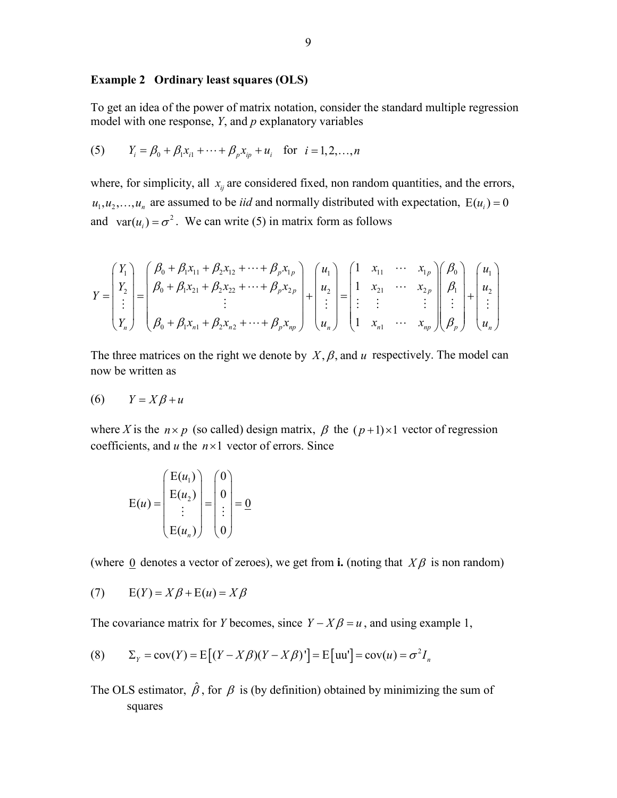#### **Example 2 Ordinary least squares (OLS)**

To get an idea of the power of matrix notation, consider the standard multiple regression model with one response, *Y*, and *p* explanatory variables

(5) 
$$
Y_i = \beta_0 + \beta_1 x_{i1} + \dots + \beta_p x_{ip} + u_i
$$
 for  $i = 1, 2, ..., n$ 

where, for simplicity, all  $x_{ij}$  are considered fixed, non random quantities, and the errors,  $u_1, u_2, \ldots, u_n$  are assumed to be *iid* and normally distributed with expectation,  $E(u_i) = 0$ and  $var(u_i) = \sigma^2$ . We can write (5) in matrix form as follows

$$
Y = \begin{pmatrix} Y_1 \\ Y_2 \\ \vdots \\ Y_n \end{pmatrix} = \begin{pmatrix} \beta_0 + \beta_1 x_{11} + \beta_2 x_{12} + \dots + \beta_p x_{1p} \\ \beta_0 + \beta_1 x_{21} + \beta_2 x_{22} + \dots + \beta_p x_{2p} \\ \vdots \\ \beta_0 + \beta_1 x_{n1} + \beta_2 x_{n2} + \dots + \beta_p x_{np} \end{pmatrix} + \begin{pmatrix} u_1 \\ u_2 \\ \vdots \\ u_n \end{pmatrix} = \begin{pmatrix} 1 & x_{11} & \cdots & x_{1p} \\ 1 & x_{21} & \cdots & x_{2p} \\ \vdots & \vdots & & \vdots \\ 1 & x_{n1} & \cdots & x_{np} \end{pmatrix} \begin{pmatrix} \beta_0 \\ \beta_1 \\ \vdots \\ \beta_p \end{pmatrix} + \begin{pmatrix} u_1 \\ u_2 \\ \vdots \\ u_n \end{pmatrix}
$$

The three matrices on the right we denote by  $X, \beta$ , and  $u$  respectively. The model can now be written as

$$
(6) \qquad Y = X\beta + u
$$

where *X* is the  $n \times p$  (so called) design matrix,  $\beta$  the  $(p+1) \times 1$  vector of regression coefficients, and  $u$  the  $n \times 1$  vector of errors. Since

$$
E(u) = \begin{pmatrix} E(u_1) \\ E(u_2) \\ \vdots \\ E(u_n) \end{pmatrix} = \begin{pmatrix} 0 \\ 0 \\ \vdots \\ 0 \end{pmatrix} = \underline{0}
$$

(where 0 denotes a vector of zeroes), we get from **i.** (noting that  $X\beta$  is non random)

$$
(7) \qquad E(Y) = X\beta + E(u) = X\beta
$$

The covariance matrix for *Y* becomes, since  $Y - X\beta = u$ , and using example 1,

(8) 
$$
\Sigma_Y = \text{cov}(Y) = \text{E}\big[(Y - X\beta)(Y - X\beta)'\big] = \text{E}\big[\text{uu'}\big] = \text{cov}(u) = \sigma^2 I_n
$$

The OLS estimator,  $\hat{\beta}$ , for  $\beta$  is (by definition) obtained by minimizing the sum of squares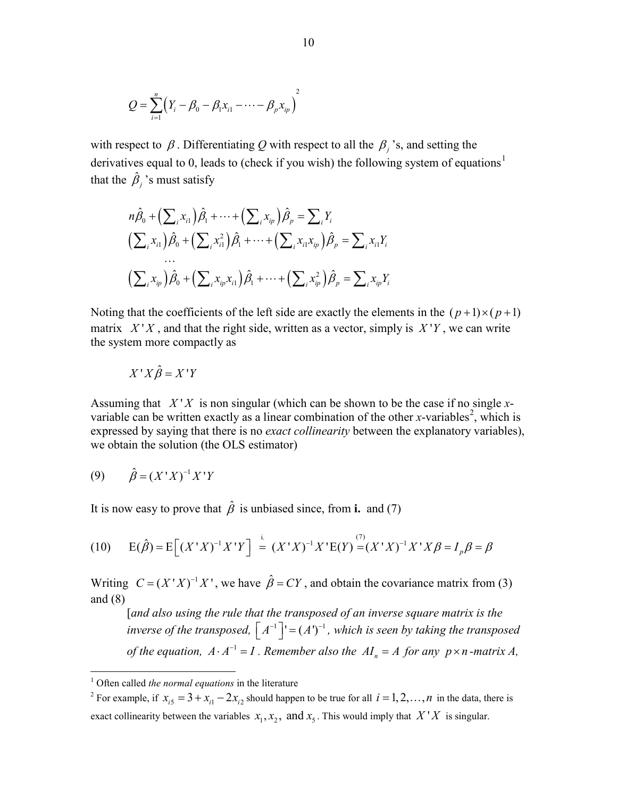$$
Q = \sum_{i=1}^{n} (Y_i - \beta_0 - \beta_1 x_{i1} - \cdots - \beta_p x_{ip})^2
$$

with respect to  $\beta$ . Differentiating Q with respect to all the  $\beta$ <sup>3</sup>, s, and setting the derivatives equal to 0, leads to (check if you wish) the following system of equations<sup>[1](#page-9-0)</sup> that the  $\hat{\beta}_j$ 's must satisfy

$$
n\hat{\beta}_0 + \left(\sum_i x_{i1}\right)\hat{\beta}_1 + \dots + \left(\sum_i x_{i p}\right)\hat{\beta}_p = \sum_i Y_i
$$
  

$$
\left(\sum_i x_{i1}\right)\hat{\beta}_0 + \left(\sum_i x_{i1}^2\right)\hat{\beta}_1 + \dots + \left(\sum_i x_{i1}x_{i p}\right)\hat{\beta}_p = \sum_i x_{i1}Y_i
$$
  
...  

$$
\left(\sum_i x_{i p}\right)\hat{\beta}_0 + \left(\sum_i x_{i p}x_{i1}\right)\hat{\beta}_1 + \dots + \left(\sum_i x_{i p}^2\right)\hat{\beta}_p = \sum_i x_{i p}Y_i
$$

Noting that the coefficients of the left side are exactly the elements in the  $(p+1)\times (p+1)$ matrix  $X'X$ , and that the right side, written as a vector, simply is  $X'Y$ , we can write the system more compactly as

$$
X'X\hat{\beta} = X'Y
$$

Assuming that  $X'X$  is non singular (which can be shown to be the case if no single *x*variable can be written exactly as a linear combination of the other *x*-variables<sup>[2](#page-9-1)</sup>, which is expressed by saying that there is no *exact collinearity* between the explanatory variables), we obtain the solution (the OLS estimator)

$$
(9) \qquad \hat{\beta} = (X^{\dagger} X)^{-1} X^{\dagger} Y
$$

It is now easy to prove that  $\hat{\beta}$  is unbiased since, from **i.** and (7)

(10) 
$$
E(\hat{\beta}) = E[(X'X)^{-1}X'Y] = (X'X)^{-1}X'E(Y) = (X'X)^{-1}X'X\beta = I_p\beta = \beta
$$

Writing  $C = (X'X)^{-1}X'$ , we have  $\hat{\beta} = CY$ , and obtain the covariance matrix from (3) and (8)

[*and also using the rule that the transposed of an inverse square matrix is the inverse of the transposed,*  $\lceil A^{-1} \rceil = (A^r)^{-1}$ , which is seen by taking the transposed *of the equation,*  $A \cdot A^{-1} = I$ . Remember also the  $AI_n = A$  for any  $p \times n$ -matrix A,

<span id="page-9-0"></span> <sup>1</sup> Often called *the normal equations* in the literature

<span id="page-9-1"></span><sup>&</sup>lt;sup>2</sup> For example, if  $x_{i5} = 3 + x_{i1} - 2x_{i2}$  should happen to be true for all  $i = 1, 2, ..., n$  in the data, there is exact collinearity between the variables  $x_1, x_2,$  and  $x_5$ . This would imply that  $X'X$  is singular.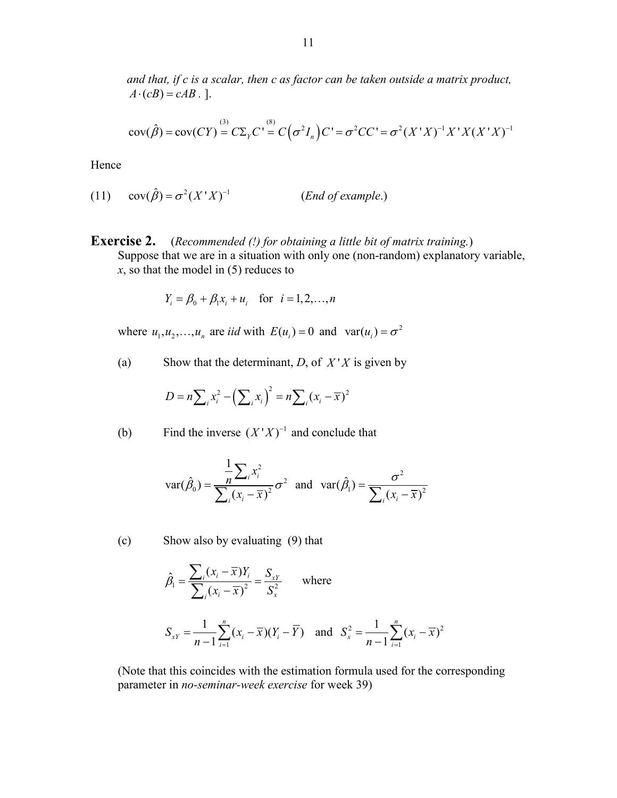*and that, if c is a scalar, then c as factor can be taken outside a matrix product,*   $A \cdot (cB) = cAB$ . ].

$$
cov(\hat{\beta}) = cov(CY) = C\Sigma_Y C' = C(\sigma^2 I_n) C' = \sigma^2 C C' = \sigma^2 (X'X)^{-1} X' X (X'X)^{-1}
$$

Hence

(11) 
$$
cov(\hat{\beta}) = \sigma^2 (X'X)^{-1}
$$
 (*End of example.*)

### **Exercise 2.** (*Recommended (!) for obtaining a little bit of matrix training.*)

Suppose that we are in a situation with only one (non-random) explanatory variable, *x*, so that the model in (5) reduces to

$$
Y_i = \beta_0 + \beta_1 x_i + u_i
$$
 for  $i = 1, 2, ..., n$ 

where  $u_1, u_2, \ldots, u_n$  are *iid* with  $E(u_i) = 0$  and  $var(u_i) = \sigma^2$ 

(a) Show that the determinant, *D*, of  $X'X$  is given by

$$
D = n \sum_i x_i^2 - \left(\sum_i x_i\right)^2 = n \sum_i (x_i - \overline{x})^2
$$

(b) Find the inverse 
$$
(X'X)^{-1}
$$
 and conclude that

$$
\text{var}(\hat{\beta}_0) = \frac{\frac{1}{n} \sum_i x_i^2}{\sum_i (x_i - \overline{x})^2} \sigma^2 \text{ and } \text{var}(\hat{\beta}_1) = \frac{\sigma^2}{\sum_i (x_i - \overline{x})^2}
$$

(c) Show also by evaluating (9) that

$$
\hat{\beta}_1 = \frac{\sum_i (x_i - \overline{x}) Y_i}{\sum_i (x_i - \overline{x})^2} = \frac{S_{xy}}{S_x^2}
$$
 where

$$
S_{XY} = \frac{1}{n-1} \sum_{i=1}^{n} (x_i - \overline{x})(Y_i - \overline{Y}) \text{ and } S_x^2 = \frac{1}{n-1} \sum_{i=1}^{n} (x_i - \overline{x})^2
$$

(Note that this coincides with the estimation formula used for the corresponding parameter in *no-seminar-week exercise* for week 39)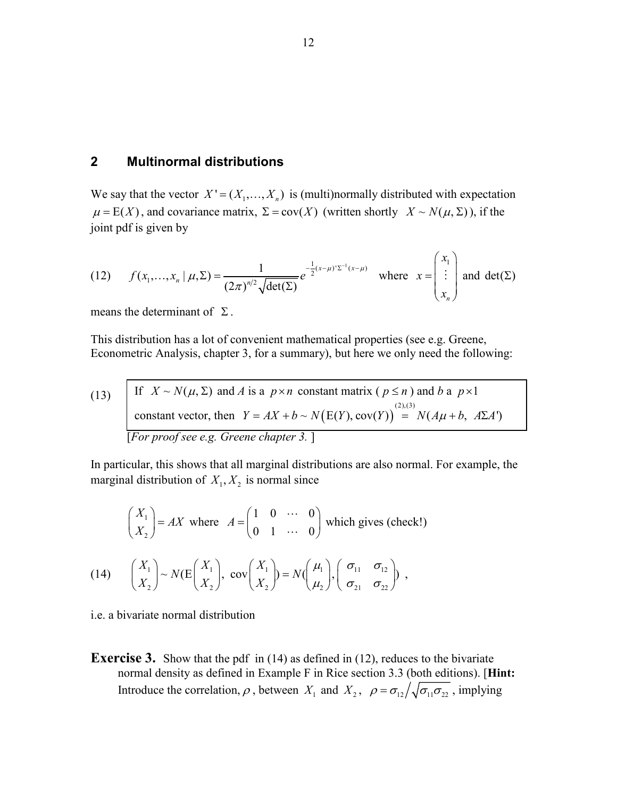## **2 Multinormal distributions**

We say that the vector  $X' = (X_1, \dots, X_n)$  is (multi)normally distributed with expectation  $\mu = E(X)$ , and covariance matrix,  $\Sigma = cov(X)$  (written shortly  $X \sim N(\mu, \Sigma)$ ), if the joint pdf is given by

(12) 
$$
f(x_1,...,x_n \mid \mu, \Sigma) = \frac{1}{(2\pi)^{n/2} \sqrt{\det(\Sigma)}} e^{-\frac{1}{2}(x-\mu)^{n/2} \cdot (x-\mu)} \text{ where } x = \begin{pmatrix} x_1 \\ \vdots \\ x_n \end{pmatrix} \text{ and } \det(\Sigma)
$$

means the determinant of  $\Sigma$ .

This distribution has a lot of convenient mathematical properties (see e.g. Greene, Econometric Analysis, chapter 3, for a summary), but here we only need the following:

(13) If 
$$
X \sim N(\mu, \Sigma)
$$
 and A is a  $p \times n$  constant matrix ( $p \le n$ ) and b a  $p \times 1$   
constant vector, then  $Y = AX + b \sim N(E(Y), cov(Y)) = N(A\mu + b, A\Sigma A')$   
[For proof see e.g. Greene chapter 3.]

In particular, this shows that all marginal distributions are also normal. For example, the marginal distribution of  $X_1, X_2$  is normal since

$$
\begin{pmatrix} X_1 \\ X_2 \end{pmatrix} = AX \text{ where } A = \begin{pmatrix} 1 & 0 & \cdots & 0 \\ 0 & 1 & \cdots & 0 \end{pmatrix} \text{ which gives (check!)}
$$
  
(14) 
$$
\begin{pmatrix} X_1 \\ X_2 \end{pmatrix} \sim N(E \begin{pmatrix} X_1 \\ X_2 \end{pmatrix}, \text{ cov} \begin{pmatrix} X_1 \\ X_2 \end{pmatrix} = N(\begin{pmatrix} \mu_1 \\ \mu_2 \end{pmatrix}, \begin{pmatrix} \sigma_{11} & \sigma_{12} \\ \sigma_{21} & \sigma_{22} \end{pmatrix}),
$$

i.e. a bivariate normal distribution

**Exercise 3.** Show that the pdf in (14) as defined in (12), reduces to the bivariate normal density as defined in Example F in Rice section 3.3 (both editions). [**Hint:** Introduce the correlation,  $\rho$ , between  $X_1$  and  $X_2$ ,  $\rho = \sigma_{12} / \sqrt{\sigma_{11} \sigma_{22}}$ , implying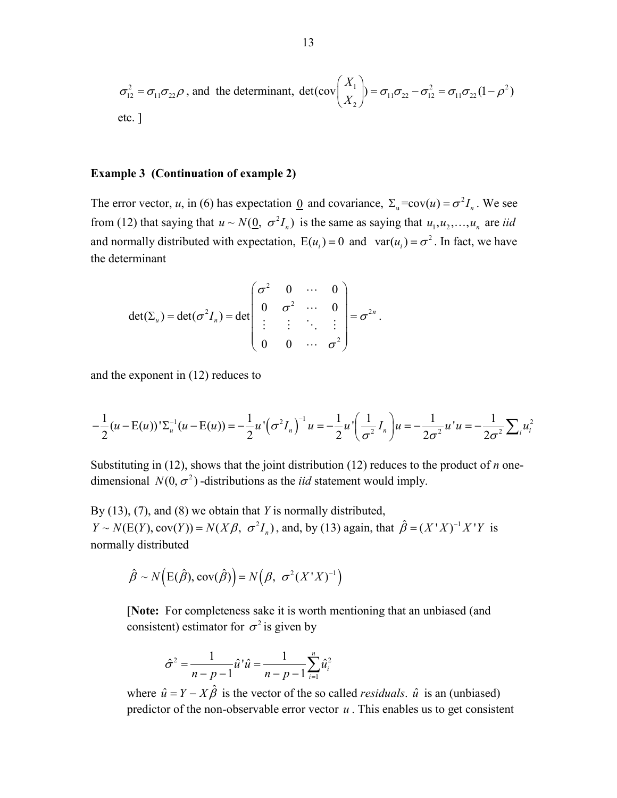$$
\sigma_{12}^2 = \sigma_{11}\sigma_{22}\rho
$$
, and the determinant, 
$$
\det(\text{cov}\left(\frac{X_1}{X_2}\right) = \sigma_{11}\sigma_{22} - \sigma_{12}^2 = \sigma_{11}\sigma_{22}(1-\rho^2)
$$
etc.

#### **Example 3 (Continuation of example 2)**

The error vector, *u*, in (6) has expectation <u>0</u> and covariance,  $\Sigma_u = cov(u) = \sigma^2 I_n$ . We see from (12) that saying that  $u \sim N(\underline{0}, \sigma^2 I_n)$  is the same as saying that  $u_1, u_2, ..., u_n$  are *iid* and normally distributed with expectation,  $E(u_i) = 0$  and  $var(u_i) = \sigma^2$ . In fact, we have the determinant

$$
\det(\Sigma_u) = \det(\sigma^2 I_n) = \det\begin{pmatrix} \sigma^2 & 0 & \cdots & 0 \\ 0 & \sigma^2 & \cdots & 0 \\ \vdots & \vdots & \ddots & \vdots \\ 0 & 0 & \cdots & \sigma^2 \end{pmatrix} = \sigma^{2n}
$$

and the exponent in (12) reduces to

$$
-\frac{1}{2}(u - \mathcal{E}(u))'\Sigma_{u}^{-1}(u - \mathcal{E}(u)) = -\frac{1}{2}u'\left(\sigma^{2}I_{n}\right)^{-1}u = -\frac{1}{2}u'\left(\frac{1}{\sigma^{2}}I_{n}\right)u = -\frac{1}{2\sigma^{2}}u'u = -\frac{1}{2\sigma^{2}}\sum_{i}u_{i}^{2}
$$

.

Substituting in (12), shows that the joint distribution (12) reduces to the product of *n* onedimensional  $N(0, \sigma^2)$  -distributions as the *iid* statement would imply.

By (13), (7), and (8) we obtain that *Y* is normally distributed,  $Y \sim N(E(Y), cov(Y)) = N(X\beta, \sigma^2 I_n)$ , and, by (13) again, that  $\hat{\beta} = (X'X)^{-1}X'Y$  is normally distributed

$$
\hat{\beta} \sim N(E(\hat{\beta}), cov(\hat{\beta})) = N(\beta, \sigma^2(X'X)^{-1})
$$

[**Note:** For completeness sake it is worth mentioning that an unbiased (and consistent) estimator for  $\sigma^2$  is given by

$$
\hat{\sigma}^2 = \frac{1}{n-p-1} \hat{u}^\dagger \hat{u} = \frac{1}{n-p-1} \sum_{i=1}^n \hat{u}_i^2
$$

where  $\hat{u} = Y - X\hat{\beta}$  is the vector of the so called *residuals*.  $\hat{u}$  is an (unbiased) predictor of the non-observable error vector *u* . This enables us to get consistent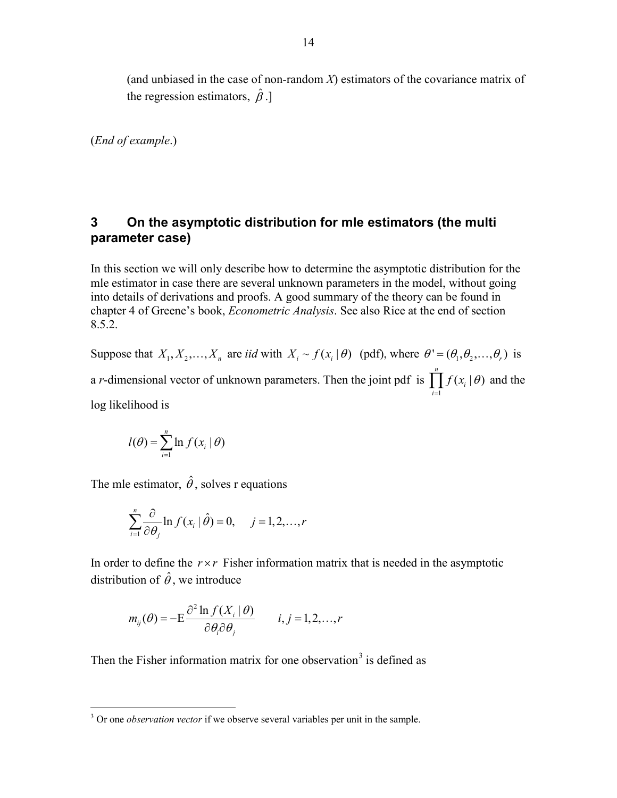(and unbiased in the case of non-random *X*) estimators of the covariance matrix of the regression estimators,  $\hat{\beta}$ .]

(*End of example*.)

## **3 On the asymptotic distribution for mle estimators (the multi parameter case)**

In this section we will only describe how to determine the asymptotic distribution for the mle estimator in case there are several unknown parameters in the model, without going into details of derivations and proofs. A good summary of the theory can be found in chapter 4 of Greene's book, *Econometric Analysis*. See also Rice at the end of section 8.5.2.

Suppose that  $X_1, X_2, ..., X_n$  are *iid* with  $X_i \sim f(x_i | \theta)$  (pdf), where  $\theta' = (\theta_1, \theta_2, ..., \theta_n)$  is a *r*-dimensional vector of unknown parameters. Then the joint pdf is 1  $(x_i | \theta)$ *n i i*  $f(x_i | \theta)$  $\prod_{i=1} f(x_i | \theta)$  and the log likelihood is

$$
l(\theta) = \sum_{i=1}^{n} \ln f(x_i | \theta)
$$

The mle estimator,  $\hat{\theta}$ , solves r equations

$$
\sum_{i=1}^{n} \frac{\partial}{\partial \theta_j} \ln f(x_i | \hat{\theta}) = 0, \quad j = 1, 2, \dots, r
$$

In order to define the  $r \times r$  Fisher information matrix that is needed in the asymptotic distribution of  $\hat{\theta}$ , we introduce

$$
m_{ij}(\theta) = -E \frac{\partial^2 \ln f(X_i | \theta)}{\partial \theta_i \partial \theta_j} \qquad i, j = 1, 2, ..., r
$$

Then the Fisher information matrix for one observation<sup>[3](#page-13-0)</sup> is defined as

<span id="page-13-0"></span><sup>&</sup>lt;sup>3</sup> Or one *observation vector* if we observe several variables per unit in the sample.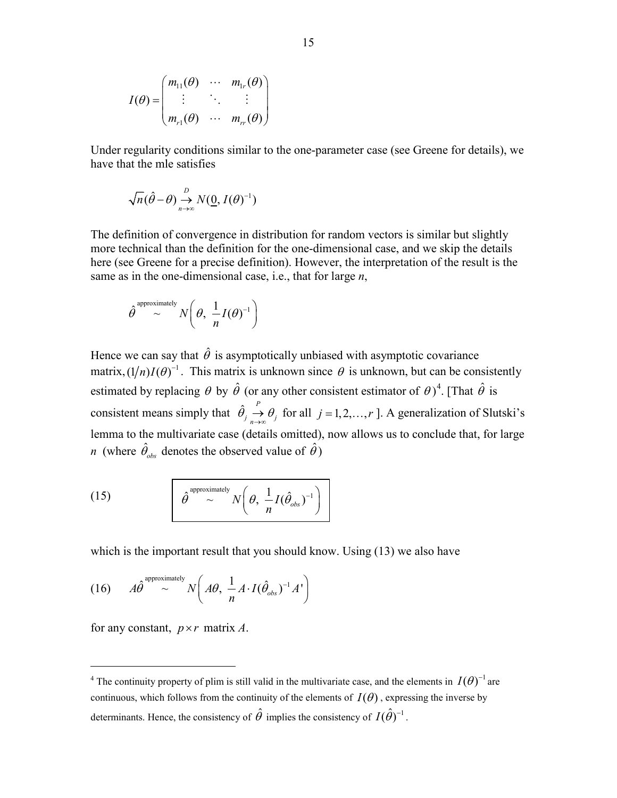$$
I(\theta) = \begin{pmatrix} m_{11}(\theta) & \cdots & m_{1r}(\theta) \\ \vdots & \ddots & \vdots \\ m_{r1}(\theta) & \cdots & m_{rr}(\theta) \end{pmatrix}
$$

Under regularity conditions similar to the one-parameter case (see Greene for details), we have that the mle satisfies

$$
\sqrt{n}(\hat{\theta}-\theta) \mathop{\to}\limits_{n\to\infty}^D N(\underline{0}, I(\theta)^{-1})
$$

The definition of convergence in distribution for random vectors is similar but slightly more technical than the definition for the one-dimensional case, and we skip the details here (see Greene for a precise definition). However, the interpretation of the result is the same as in the one-dimensional case, i.e., that for large *n*,

$$
\hat{\theta}^{\text{approximately}} \sim N\left(\theta, \frac{1}{n}I(\theta)^{-1}\right)
$$

Hence we can say that  $\hat{\theta}$  is asymptotically unbiased with asymptotic covariance matrix,  $(1/n)I(\theta)^{-1}$ . This matrix is unknown since  $\theta$  is unknown, but can be consistently estimated by replacing  $\theta$  by  $\hat{\theta}$  (or any other consistent estimator of  $\theta$ )<sup>[4](#page-14-0)</sup>. [That  $\hat{\theta}$  is consistent means simply that  $\hat{\theta}_j \overset{P}{\underset{n \to \infty}{\to}} \theta_j$  $\rightarrow \theta_j$  for all *j* = 1, 2, ..., *r* ]. A generalization of Slutski's lemma to the multivariate case (details omitted), now allows us to conclude that, for large *n* (where  $\hat{\theta}_{obs}$  denotes the observed value of  $\hat{\theta}$ )

(15) 
$$
\hat{\theta}^{\text{approximately}} N\left(\theta, \frac{1}{n}I(\hat{\theta}_{obs})^{-1}\right)
$$

which is the important result that you should know. Using  $(13)$  we also have

(16) 
$$
A\hat{\theta}^{\text{approximately}} \sim N\left(A\theta, \frac{1}{n}A \cdot I(\hat{\theta}_{obs})^{-1}A'\right)
$$

for any constant,  $p \times r$  matrix *A*.

<span id="page-14-0"></span><sup>&</sup>lt;sup>4</sup> The continuity property of plim is still valid in the multivariate case, and the elements in  $I(\theta)$ <sup>-1</sup> are continuous, which follows from the continuity of the elements of  $I(\theta)$ , expressing the inverse by determinants. Hence, the consistency of  $\hat{\theta}$  implies the consistency of  $I(\hat{\theta})^{-1}$ .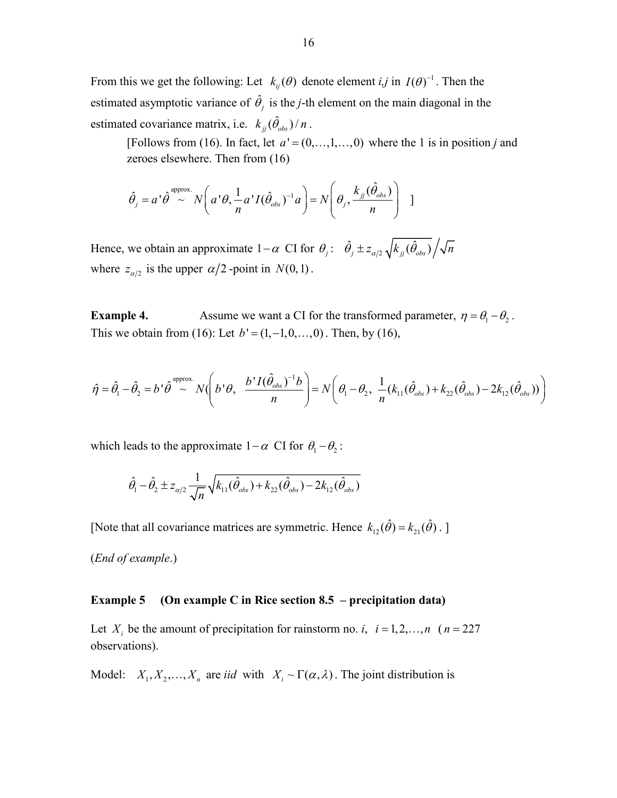From this we get the following: Let  $k_{ij}(\theta)$  denote element *i,j* in  $I(\theta)^{-1}$ . Then the estimated asymptotic variance of  $\hat{\theta}_i$  is the *j*-th element on the main diagonal in the estimated covariance matrix, i.e.  $k_{jj} (\hat{\theta}_{obs})/n$ .

[Follows from (16). In fact, let  $a' = (0, \ldots, 1, \ldots, 0)$  where the 1 is in position *j* and zeroes elsewhere. Then from (16)

$$
\hat{\theta}_j = a^{\dagger} \hat{\theta}^{\text{approx.}} N\left(a^{\dagger} \theta, \frac{1}{n} a^{\dagger} I(\hat{\theta}_{obs})^{-1} a\right) = N\left(\theta_j, \frac{k_{jj}(\hat{\theta}_{obs})}{n}\right)
$$

Hence, we obtain an approximate  $1-\alpha$  CI for  $\theta_j$ :  $\hat{\theta}_j \pm z_{\alpha/2} \sqrt{k_{jj}(\hat{\theta}_{obs})}/\sqrt{n}$ where  $z_{\alpha/2}$  is the upper  $\alpha/2$ -point in  $N(0,1)$ .

**Example 4.** Assume we want a CI for the transformed parameter,  $\eta = \theta_1 - \theta_2$ . This we obtain from (16): Let  $b' = (1, -1, 0, \ldots, 0)$ . Then, by (16),

$$
\hat{\eta} = \hat{\theta}_1 - \hat{\theta}_2 = b^{\dagger} \hat{\theta}^{\text{approx.}} N \bigg( b^{\dagger} \theta, \frac{b^{\dagger} I(\hat{\theta}_{obs})^{-1} b}{n} \bigg) = N \bigg( \theta_1 - \theta_2, \frac{1}{n} (k_{11}(\hat{\theta}_{obs}) + k_{22}(\hat{\theta}_{obs}) - 2k_{12}(\hat{\theta}_{obs})) \bigg)
$$

which leads to the approximate  $1-\alpha$  CI for  $\theta_1 - \theta_2$ :

$$
\hat{\theta}_1 - \hat{\theta}_2 \pm z_{\alpha/2} \frac{1}{\sqrt{n}} \sqrt{k_{11}(\hat{\theta}_{obs}) + k_{22}(\hat{\theta}_{obs}) - 2k_{12}(\hat{\theta}_{obs})}
$$

[Note that all covariance matrices are symmetric. Hence  $k_{12}(\hat{\theta}) = k_{21}(\hat{\theta})$ .]

(*End of example*.)

#### **Example 5 (On example C in Rice section 8.5 – precipitation data)**

Let  $X_i$  be the amount of precipitation for rainstorm no. *i*,  $i = 1, 2, ..., n$  ( $n = 227$ ) observations).

Model:  $X_1, X_2, ..., X_n$  are *iid* with  $X_i \sim \Gamma(\alpha, \lambda)$ . The joint distribution is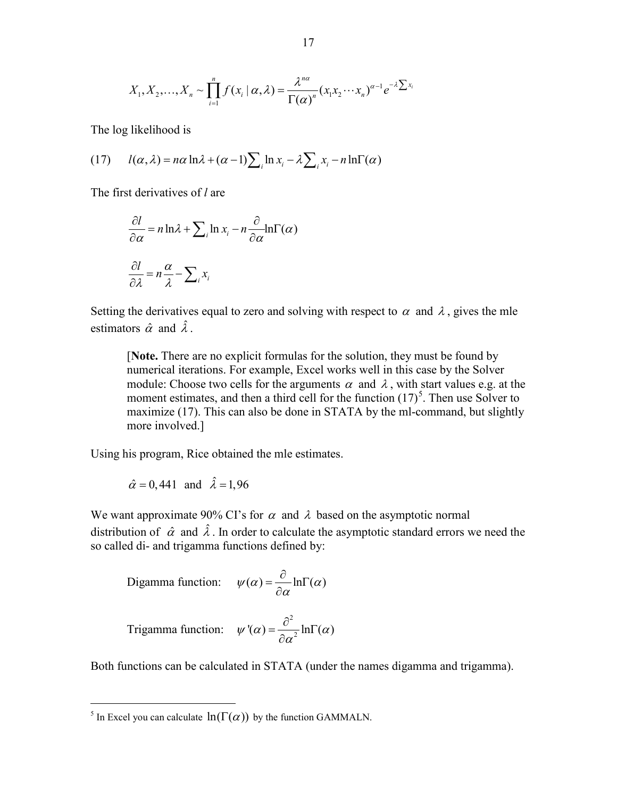$$
X_1, X_2, \ldots, X_n \sim \prod_{i=1}^n f(x_i \mid \alpha, \lambda) = \frac{\lambda^{n\alpha}}{\Gamma(\alpha)^n} (x_1 x_2 \cdots x_n)^{\alpha-1} e^{-\lambda \sum x_i}
$$

The log likelihood is

(17) 
$$
l(\alpha, \lambda) = n\alpha \ln \lambda + (\alpha - 1) \sum_{i} \ln x_{i} - \lambda \sum_{i} x_{i} - n \ln \Gamma(\alpha)
$$

The first derivatives of *l* are

$$
\frac{\partial l}{\partial \alpha} = n \ln \lambda + \sum_{i} \ln x_{i} - n \frac{\partial}{\partial \alpha} \ln \Gamma(\alpha)
$$

$$
\frac{\partial l}{\partial \lambda} = n \frac{\alpha}{\lambda} - \sum_{i} x_{i}
$$

Setting the derivatives equal to zero and solving with respect to  $\alpha$  and  $\lambda$ , gives the mle estimators  $\hat{\alpha}$  and  $\hat{\lambda}$ .

[**Note.** There are no explicit formulas for the solution, they must be found by numerical iterations. For example, Excel works well in this case by the Solver module: Choose two cells for the arguments  $\alpha$  and  $\lambda$ , with start values e.g. at the moment estimates, and then a third cell for the function  $(17)^5$  $(17)^5$ . Then use Solver to maximize (17). This can also be done in STATA by the ml-command, but slightly more involved.]

Using his program, Rice obtained the mle estimates.

$$
\hat{\alpha} = 0,441 \text{ and } \hat{\lambda} = 1,96
$$

We want approximate 90% CI's for  $\alpha$  and  $\lambda$  based on the asymptotic normal distribution of  $\hat{\alpha}$  and  $\hat{\lambda}$ . In order to calculate the asymptotic standard errors we need the so called di- and trigamma functions defined by:

$$
\text{Digamma function:} \quad \psi(\alpha) = \frac{\partial}{\partial \alpha} \ln \Gamma(\alpha)
$$

Trigamma function: 
$$
\psi'(\alpha) = \frac{\partial^2}{\partial \alpha^2} \ln \Gamma(\alpha)
$$

Both functions can be calculated in STATA (under the names digamma and trigamma).

<span id="page-16-0"></span><sup>&</sup>lt;sup>5</sup> In Excel you can calculate  $\ln(\Gamma(\alpha))$  by the function GAMMALN.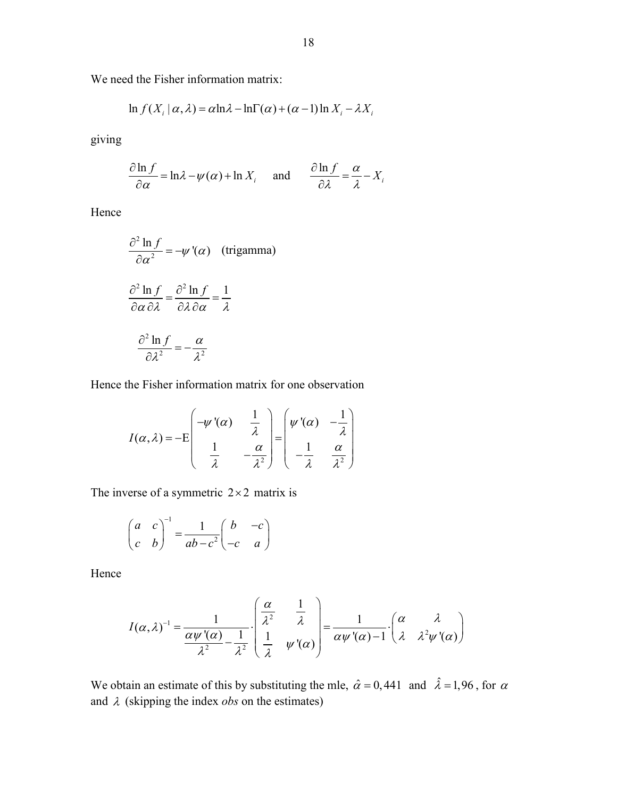We need the Fisher information matrix:

$$
\ln f(X_i \mid \alpha, \lambda) = \alpha \ln \lambda - \ln \Gamma(\alpha) + (\alpha - 1) \ln X_i - \lambda X_i
$$

giving

$$
\frac{\partial \ln f}{\partial \alpha} = \ln \lambda - \psi(\alpha) + \ln X_i \quad \text{and} \quad \frac{\partial \ln f}{\partial \lambda} = \frac{\alpha}{\lambda} - X_i
$$

Hence

$$
\frac{\partial^2 \ln f}{\partial \alpha^2} = -\psi'(\alpha) \quad \text{(trigamma)}
$$

$$
\frac{\partial^2 \ln f}{\partial \alpha \partial \lambda} = \frac{\partial^2 \ln f}{\partial \lambda \partial \alpha} = \frac{1}{\lambda}
$$

$$
\frac{\partial^2 \ln f}{\partial \lambda^2} = -\frac{\alpha}{\lambda^2}
$$

Hence the Fisher information matrix for one observation

$$
I(\alpha,\lambda) = -E\begin{pmatrix} -\psi'(\alpha) & \frac{1}{\lambda} \\ \frac{1}{\lambda} & -\frac{\alpha}{\lambda^2} \end{pmatrix} = \begin{pmatrix} \psi'(\alpha) & -\frac{1}{\lambda} \\ -\frac{1}{\lambda} & \frac{\alpha}{\lambda^2} \end{pmatrix}
$$

The inverse of a symmetric  $2 \times 2$  matrix is

$$
\begin{pmatrix} a & c \\ c & b \end{pmatrix}^{-1} = \frac{1}{ab - c^2} \begin{pmatrix} b & -c \\ -c & a \end{pmatrix}
$$

Hence

$$
I(\alpha,\lambda)^{-1} = \frac{1}{\frac{\alpha\psi'(\alpha)}{\lambda^2} - \frac{1}{\lambda^2}} \cdot \begin{pmatrix} \frac{\alpha}{\lambda^2} & \frac{1}{\lambda} \\ \frac{1}{\lambda} & \psi'(\alpha) \end{pmatrix} = \frac{1}{\alpha\psi'(\alpha) - 1} \cdot \begin{pmatrix} \alpha & \lambda \\ \lambda & \lambda^2\psi'(\alpha) \end{pmatrix}
$$

We obtain an estimate of this by substituting the mle,  $\hat{\alpha} = 0,441$  and  $\hat{\lambda} = 1,96$ , for  $\alpha$ and  $\lambda$  (skipping the index *obs* on the estimates)